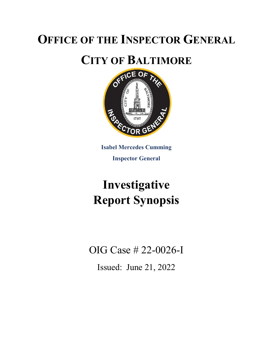## **OFFICE OF THE INSPECTOR GENERAL**



**Isabel Mercedes Cumming Inspector General**

# **Investigative Report Synopsis**

OIG Case # 22-0026-I

Issued: June 21, 2022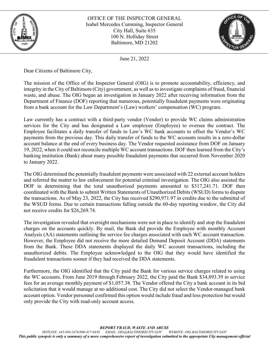

OFFICE OF THE INSPECTOR GENERAL Isabel Mercedes Cumming, Inspector General City Hall, Suite 635 100 N. Holliday Street Baltimore, MD 21202



June 21, 2022

Dear Citizens of Baltimore City,

The mission of the Office of the Inspector General (OIG) is to promote accountability, efficiency, and integrity in the City of Baltimore (City) government, as well as to investigate complaints of fraud, financial waste, and abuse. The OIG began an investigation in January 2022 after receiving information from the Department of Finance (DOF) reporting that numerous, potentially fraudulent payments were originating from a bank account for the Law Department's (Law) workers' compensation (WC) program.

Law currently has a contract with a third-party vendor (Vendor) to provide WC claims administration services for the City and has designated a Law employee (Employee) to oversee the contract. The Employee facilitates a daily transfer of funds to Law's WC bank accounts to offset the Vendor's WC payments from the previous day. This daily transfer of funds to the WC accounts results in a zero-dollar account balance at the end of every business day. The Vendor requested assistance from DOF on January 19, 2022, when it could not reconcile multiple WC account transactions. DOF then learned from the City's banking institution (Bank) about many possible fraudulent payments that occurred from November 2020 to January 2022.

The OIG determined the potentially fraudulent payments were associated with 22 external account holders and referred the matter to law enforcement for potential criminal investigation. The OIG also assisted the DOF in determining that the total unauthorized payments amounted to \$317,241.71. DOF then coordinated with the Bank to submit Written Statements of Unauthorized Debits (WSUD) forms to dispute the transactions. As of May 23, 2022, the City has received \$290,971.97 in credits due to the submittal of the WSUD forms. Due to certain transactions falling outside the 60-day reporting window, the City did not receive credits for \$26,269.74.

The investigation revealed that oversight mechanisms were not in place to identify and stop the fraudulent charges on the accounts quickly. By mail, the Bank did provide the Employee with monthly Account Analysis (AA) statements outlining the service fee charges associated with each WC account transaction. However, the Employee did not receive the more detailed Demand Deposit Account (DDA) statements from the Bank. These DDA statements displayed the daily WC account transactions, including the unauthorized debits. The Employee acknowledged to the OIG that they would have identified the fraudulent transactions sooner if they had received the DDA statements.

Furthermore, the OIG identified that the City paid the Bank for various service charges related to using the WC accounts. From June 2019 through February 2022, the City paid the Bank \$34,893.39 in service fees for an average monthly payment of \$1,057.38. The Vendor offered the City a bank account in its bid solicitation that it would manage at no additional cost. The City did not select the Vendor-managed bank account option. Vendor personnel confirmed this option would include fraud and loss protection but would only provide the City with read-only account access.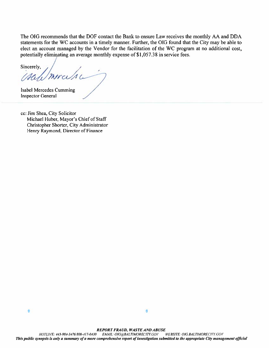The OIG recommends that the DOF contact the Bank to ensure Law receives the monthly AA and DDA statements for the WC accounts in a timely manner. Further, the OIG found that the City may be able to elect an account managed by the Vendor for the facilitation of the WC program at no additional cost, potentially eliminating an average monthly expense of \$1,057.38 in service fees.

Sincerely, mirasa

Isabel Mercedes Cumming **Inspector General** 

cc: Jim Shea, City Solicitor Michael Huber, Mayor's Chief of Staff Christopher Shorter, City Administrator Henry Raymond, Director of Finance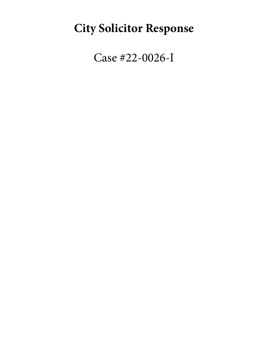# **City Solicitor Response**

Case #22-0026-I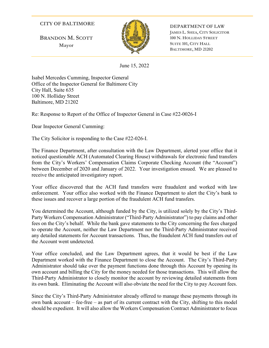### **CITY OF BALTIMORE**

**BRANDON M. SCOTT Mayor**



**DEPARTMENT OF LAW JAMES L. SHEA, CITY SOLICITOR 100 N. HOLLIDAY STREET SUITE 101, CITY HALL BALTIMORE, MD 21202**

June 15, 2022

Isabel Mercedes Cumming, Inspector General Office of the Inspector General for Baltimore City City Hall, Suite 635 100 N. Holliday Street Baltimore, MD 21202

Re: Response to Report of the Office of Inspector General in Case #22-0026-I

Dear Inspector General Cumming:

The City Solicitor is responding to the Case #22-026-I.

The Finance Department, after consultation with the Law Department, alerted your office that it noticed questionable ACH (Automated Clearing House) withdrawals for electronic fund transfers from the City's Workers' Compensation Claims Corporate Checking Account (the "Account") between December of 2020 and January of 2022. Your investigation ensued. We are pleased to receive the anticipated investigatory report.

Your office discovered that the ACH fund transfers were fraudulent and worked with law enforcement. Your office also worked with the Finance Department to alert the City's bank to these issues and recover a large portion of the fraudulent ACH fund transfers.

You determined the Account, although funded by the City, is utilized solely by the City's Third-Party Workers Compensation Administrator ("Third-Party Administrator") to pay claims and other fees on the City's behalf. While the bank gave statements to the City concerning the fees charged to operate the Account, neither the Law Department nor the Third-Party Administrator received any detailed statements for Account transactions. Thus, the fraudulent ACH fund transfers out of the Account went undetected.

Your office concluded, and the Law Department agrees, that it would be best if the Law Department worked with the Finance Department to close the Account. The City's Third-Party Administrator should take over the payment functions done through this Account by opening its own account and billing the City for the money needed for those transactions. This will allow the Third-Party Administrator to closely monitor the account by reviewing detailed statements from its own bank. Eliminating the Account will also obviate the need for the City to pay Account fees.

Since the City's Third-Party Administrator already offered to manage these payments through its own bank account – fee-free – as part of its current contract with the City, shifting to this model should be expedient. It will also allow the Workers Compensation Contract Administrator to focus